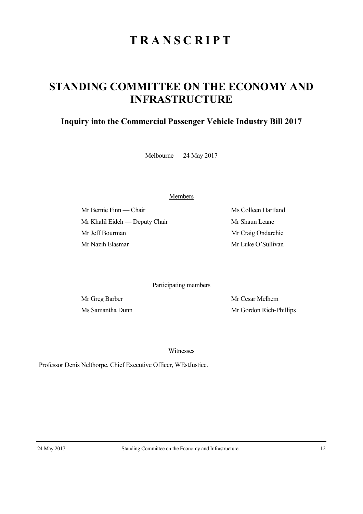## **TRANSCRIPT**

## **STANDING COMMITTEE ON THE ECONOMY AND INFRASTRUCTURE**

## **Inquiry into the Commercial Passenger Vehicle Industry Bill 2017**

Melbourne — 24 May 2017

Members

Mr Bernie Finn — Chair Ms Colleen Hartland Mr Khalil Eideh — Deputy Chair Mr Shaun Leane Mr Jeff Bourman Mr Craig Ondarchie Mr Nazih Elasmar Mr Luke O'Sullivan

Participating members

Mr Greg Barber Mr Cesar Melhem Ms Samantha Dunn Mr Gordon Rich-Phillips

Witnesses

Professor Denis Nelthorpe, Chief Executive Officer, WEstJustice.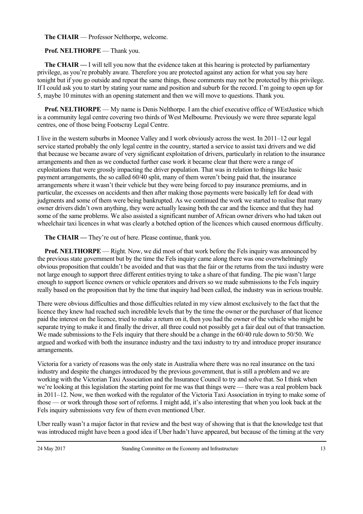**The CHAIR** — Professor Nelthorpe, welcome.

Prof. NELTHORPE — Thank you.

**The CHAIR** — I will tell you now that the evidence taken at this hearing is protected by parliamentary privilege, as you're probably aware. Therefore you are protected against any action for what you say here tonight but if you go outside and repeat the same things, those comments may not be protected by this privilege. If I could ask you to start by stating your name and position and suburb for the record. I'm going to open up for 5, maybe 10 minutes with an opening statement and then we will move to questions. Thank you.

**Prof. NELTHORPE** — My name is Denis Nelthorpe. I am the chief executive office of WEstJustice which is a community legal centre covering two thirds of West Melbourne. Previously we were three separate legal centres, one of those being Footscray Legal Centre.

I live in the western suburbs in Moonee Valley and I work obviously across the west. In 2011–12 our legal service started probably the only legal centre in the country, started a service to assist taxi drivers and we did that because we became aware of very significant exploitation of drivers, particularly in relation to the insurance arrangements and then as we conducted further case work it became clear that there were a range of exploitations that were grossly impacting the driver population. That was in relation to things like basic payment arrangements, the so called 60/40 split, many of them weren't being paid that, the insurance arrangements where it wasn't their vehicle but they were being forced to pay insurance premiums, and in particular, the excesses on accidents and then after making those payments were basically left for dead with judgments and some of them were being bankrupted. As we continued the work we started to realise that many owner drivers didn't own anything, they were actually leasing both the car and the licence and that they had some of the same problems. We also assisted a significant number of African owner drivers who had taken out wheelchair taxi licences in what was clearly a botched option of the licences which caused enormous difficulty.

The CHAIR — They're out of here. Please continue, thank you.

**Prof. NELTHORPE** — Right. Now, we did most of that work before the Fels inquiry was announced by the previous state government but by the time the Fels inquiry came along there was one overwhelmingly obvious proposition that couldn't be avoided and that was that the fair or the returns from the taxi industry were not large enough to support three different entities trying to take a share of that funding. The pie wasn't large enough to support licence owners or vehicle operators and drivers so we made submissions to the Fels inquiry really based on the proposition that by the time that inquiry had been called, the industry was in serious trouble.

There were obvious difficulties and those difficulties related in my view almost exclusively to the fact that the licence they knew had reached such incredible levels that by the time the owner or the purchaser of that licence paid the interest on the licence, tried to make a return on it, then you had the owner of the vehicle who might be separate trying to make it and finally the driver, all three could not possibly get a fair deal out of that transaction. We made submissions to the Fels inquiry that there should be a change in the 60/40 rule down to 50/50. We argued and worked with both the insurance industry and the taxi industry to try and introduce proper insurance arrangements.

Victoria for a variety of reasons was the only state in Australia where there was no real insurance on the taxi industry and despite the changes introduced by the previous government, that is still a problem and we are working with the Victorian Taxi Association and the Insurance Council to try and solve that. So I think when we're looking at this legislation the starting point for me was that things were — there was a real problem back in 2011–12. Now, we then worked with the regulator of the Victoria Taxi Association in trying to make some of those — or work through those sort of reforms. I might add, it's also interesting that when you look back at the Fels inquiry submissions very few of them even mentioned Uber.

Uber really wasn't a major factor in that review and the best way of showing that is that the knowledge test that was introduced might have been a good idea if Uber hadn't have appeared, but because of the timing at the very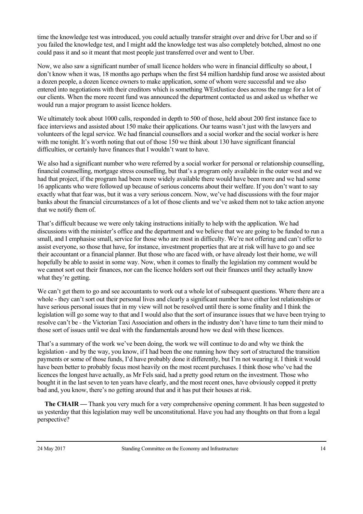time the knowledge test was introduced, you could actually transfer straight over and drive for Uber and so if you failed the knowledge test, and I might add the knowledge test was also completely botched, almost no one could pass it and so it meant that most people just transferred over and went to Uber.

Now, we also saw a significant number of small licence holders who were in financial difficulty so about, I don't know when it was, 18 months ago perhaps when the first \$4 million hardship fund arose we assisted about a dozen people, a dozen licence owners to make application, some of whom were successful and we also entered into negotiations with their creditors which is something WEstJustice does across the range for a lot of our clients. When the more recent fund was announced the department contacted us and asked us whether we would run a major program to assist licence holders.

We ultimately took about 1000 calls, responded in depth to 500 of those, held about 200 first instance face to face interviews and assisted about 150 make their applications. Our teams wasn't just with the lawyers and volunteers of the legal service. We had financial counsellors and a social worker and the social worker is here with me tonight. It's worth noting that out of those 150 we think about 130 have significant financial difficulties, or certainly have finances that I wouldn't want to have.

We also had a significant number who were referred by a social worker for personal or relationship counselling, financial counselling, mortgage stress counselling, but that's a program only available in the outer west and we had that project, if the program had been more widely available there would have been more and we had some 16 applicants who were followed up because of serious concerns about their welfare. If you don't want to say exactly what that fear was, but it was a very serious concern. Now, we've had discussions with the four major banks about the financial circumstances of a lot of those clients and we've asked them not to take action anyone that we notify them of.

That's difficult because we were only taking instructions initially to help with the application. We had discussions with the minister's office and the department and we believe that we are going to be funded to run a small, and I emphasise small, service for those who are most in difficulty. We're not offering and can't offer to assist everyone, so those that have, for instance, investment properties that are at risk will have to go and see their accountant or a financial planner. But those who are faced with, or have already lost their home, we will hopefully be able to assist in some way. Now, when it comes to finally the legislation my comment would be we cannot sort out their finances, nor can the licence holders sort out their finances until they actually know what they're getting.

We can't get them to go and see accountants to work out a whole lot of subsequent questions. Where there are a whole - they can't sort out their personal lives and clearly a significant number have either lost relationships or have serious personal issues that in my view will not be resolved until there is some finality and I think the legislation will go some way to that and I would also that the sort of insurance issues that we have been trying to resolve can't be - the Victorian Taxi Association and others in the industry don't have time to turn their mind to those sort of issues until we deal with the fundamentals around how we deal with these licences.

That's a summary of the work we've been doing, the work we will continue to do and why we think the legislation - and by the way, you know, if I had been the one running how they sort of structured the transition payments or some of those funds, I'd have probably done it differently, but I'm not wearing it. I think it would have been better to probably focus most heavily on the most recent purchases. I think those who've had the licences the longest have actually, as Mr Fels said, had a pretty good return on the investment. Those who bought it in the last seven to ten years have clearly, and the most recent ones, have obviously copped it pretty bad and, you know, there's no getting around that and it has put their houses at risk.

**The CHAIR** — Thank you very much for a very comprehensive opening comment. It has been suggested to us yesterday that this legislation may well be unconstitutional. Have you had any thoughts on that from a legal perspective?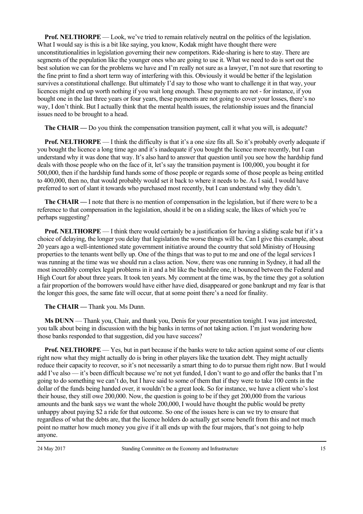**Prof. NELTHORPE** — Look, we've tried to remain relatively neutral on the politics of the legislation. What I would say is this is a bit like saying, you know, Kodak might have thought there were unconstitutionalities in legislation governing their new competitors. Ride-sharing is here to stay. There are segments of the population like the younger ones who are going to use it. What we need to do is sort out the best solution we can for the problems we have and I'm really not sure as a lawyer, I'm not sure that resorting to the fine print to find a short term way of interfering with this. Obviously it would be better if the legislation survives a constitutional challenge. But ultimately I'd say to those who want to challenge it in that way, your licences might end up worth nothing if you wait long enough. These payments are not - for instance, if you bought one in the last three years or four years, these payments are not going to cover your losses, there's no way, I don't think. But I actually think that the mental health issues, the relationship issues and the financial issues need to be brought to a head.

The CHAIR — Do you think the compensation transition payment, call it what you will, is adequate?

**Prof. NELTHORPE** — I think the difficulty is that it's a one size fits all. So it's probably overly adequate if you bought the licence a long time ago and it's inadequate if you bought the licence more recently, but I can understand why it was done that way. It's also hard to answer that question until you see how the hardship fund deals with those people who on the face of it, let's say the transition payment is 100,000, you bought it for 500,000, then if the hardship fund hands some of those people or regards some of those people as being entitled to 400,000, then no, that would probably would set it back to where it needs to be. As I said, I would have preferred to sort of slant it towards who purchased most recently, but I can understand why they didn't.

**The CHAIR —** I note that there is no mention of compensation in the legislation, but if there were to be a reference to that compensation in the legislation, should it be on a sliding scale, the likes of which you're perhaps suggesting?

**Prof. NELTHORPE** — I think there would certainly be a justification for having a sliding scale but if it's a choice of delaying, the longer you delay that legislation the worse things will be. Can I give this example, about 20 years ago a well-intentioned state government initiative around the country that sold Ministry of Housing properties to the tenants went belly up. One of the things that was to put to me and one of the legal services I was running at the time was we should run a class action. Now, there was one running in Sydney, it had all the most incredibly complex legal problems in it and a bit like the bushfire one, it bounced between the Federal and High Court for about three years. It took ten years. My comment at the time was, by the time they got a solution a fair proportion of the borrowers would have either have died, disappeared or gone bankrupt and my fear is that the longer this goes, the same fate will occur, that at some point there's a need for finality.

**The CHAIR —** Thank you. Ms Dunn.

**Ms DUNN** — Thank you, Chair, and thank you, Denis for your presentation tonight. I was just interested, you talk about being in discussion with the big banks in terms of not taking action. I'm just wondering how those banks responded to that suggestion, did you have success?

**Prof. NELTHORPE** — Yes, but in part because if the banks were to take action against some of our clients right now what they might actually do is bring in other players like the taxation debt. They might actually reduce their capacity to recover, so it's not necessarily a smart thing to do to pursue them right now. But I would add I've also — it's been difficult because we're not yet funded, I don't want to go and offer the banks that I'm going to do something we can't do, but I have said to some of them that if they were to take 100 cents in the dollar of the funds being handed over, it wouldn't be a great look. So for instance, we have a client who's lost their house, they still owe 200,000. Now, the question is going to be if they get 200,000 from the various amounts and the bank says we want the whole 200,000, I would have thought the public would be pretty unhappy about paying \$2 a ride for that outcome. So one of the issues here is can we try to ensure that regardless of what the debts are, that the licence holders do actually get some benefit from this and not much point no matter how much money you give if it all ends up with the four majors, that's not going to help anyone.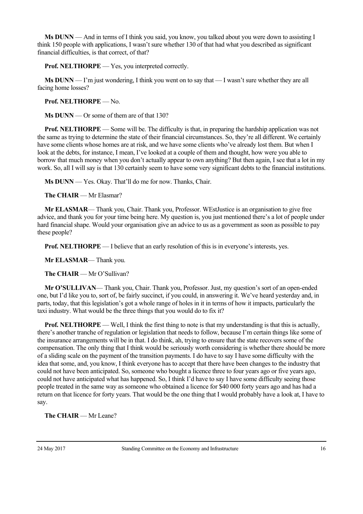**Ms DUNN** — And in terms of I think you said, you know, you talked about you were down to assisting I think 150 people with applications, I wasn't sure whether 130 of that had what you described as significant financial difficulties, is that correct, of that?

Prof. NELTHORPE — Yes, you interpreted correctly.

**Ms DUNN** — I'm just wondering, I think you went on to say that — I wasn't sure whether they are all facing home losses?

**Prof. NELTHORPE** — No.

**Ms DUNN** — Or some of them are of that 130?

**Prof. NELTHORPE** — Some will be. The difficulty is that, in preparing the hardship application was not the same as trying to determine the state of their financial circumstances. So, they're all different. We certainly have some clients whose homes are at risk, and we have some clients who've already lost them. But when I look at the debts, for instance, I mean, I've looked at a couple of them and thought, how were you able to borrow that much money when you don't actually appear to own anything? But then again, I see that a lot in my work. So, all I will say is that 130 certainly seem to have some very significant debts to the financial institutions.

**Ms DUNN** — Yes. Okay. That'll do me for now. Thanks, Chair.

**The CHAIR** — Mr Elasmar?

**Mr ELASMAR**— Thank you, Chair. Thank you, Professor. WEstJustice is an organisation to give free advice, and thank you for your time being here. My question is, you just mentioned there's a lot of people under hard financial shape. Would your organisation give an advice to us as a government as soon as possible to pay these people?

**Prof. NELTHORPE** — I believe that an early resolution of this is in everyone's interests, yes.

**Mr ELASMAR**— Thank you.

**The CHAIR** — Mr O'Sullivan?

**Mr O'SULLIVAN**— Thank you, Chair. Thank you, Professor. Just, my question's sort of an open-ended one, but I'd like you to, sort of, be fairly succinct, if you could, in answering it. We've heard yesterday and, in parts, today, that this legislation's got a whole range of holes in it in terms of how it impacts, particularly the taxi industry. What would be the three things that you would do to fix it?

**Prof. NELTHORPE** — Well, I think the first thing to note is that my understanding is that this is actually, there's another tranche of regulation or legislation that needs to follow, because I'm certain things like some of the insurance arrangements will be in that. I do think, ah, trying to ensure that the state recovers some of the compensation. The only thing that I think would be seriously worth considering is whether there should be more of a sliding scale on the payment of the transition payments. I do have to say I have some difficulty with the idea that some, and, you know, I think everyone has to accept that there have been changes to the industry that could not have been anticipated. So, someone who bought a licence three to four years ago or five years ago, could not have anticipated what has happened. So, I think I'd have to say I have some difficulty seeing those people treated in the same way as someone who obtained a licence for \$40 000 forty years ago and has had a return on that licence for forty years. That would be the one thing that I would probably have a look at, I have to say.

**The CHAIR** — Mr Leane?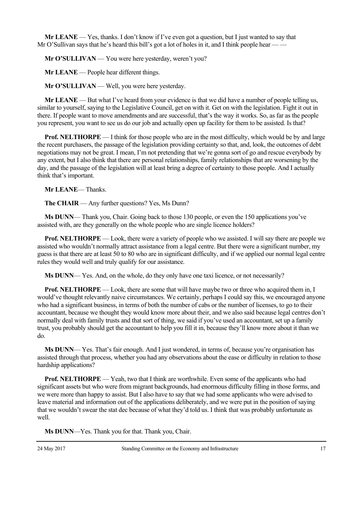**Mr LEANE** — Yes, thanks. I don't know if I've even got a question, but I just wanted to say that Mr O'Sullivan says that he's heard this bill's got a lot of holes in it, and I think people hear —

Mr O'SULLIVAN — You were here yesterday, weren't you?

**Mr LEANE** — People hear different things.

Mr O'SULLIVAN — Well, you were here yesterday.

**Mr LEANE** — But what I've heard from your evidence is that we did have a number of people telling us, similar to yourself, saying to the Legislative Council, get on with it. Get on with the legislation. Fight it out in there. If people want to move amendments and are successful, that's the way it works. So, as far as the people you represent, you want to see us do our job and actually open up facility for them to be assisted. Is that?

**Prof. NELTHORPE** — I think for those people who are in the most difficulty, which would be by and large the recent purchasers, the passage of the legislation providing certainty so that, and, look, the outcomes of debt negotiations may not be great. I mean, I'm not pretending that we're gonna sort of go and rescue everybody by any extent, but I also think that there are personal relationships, family relationships that are worsening by the day, and the passage of the legislation will at least bring a degree of certainty to those people. And I actually think that's important.

**Mr LEANE**— Thanks.

**The CHAIR** — Any further questions? Yes, Ms Dunn?

**Ms DUNN**— Thank you, Chair. Going back to those 130 people, or even the 150 applications you've assisted with, are they generally on the whole people who are single licence holders?

**Prof. NELTHORPE** — Look, there were a variety of people who we assisted. I will say there are people we assisted who wouldn't normally attract assistance from a legal centre. But there were a significant number, my guess is that there are at least 50 to 80 who are in significant difficulty, and if we applied our normal legal centre rules they would well and truly qualify for our assistance.

**Ms DUNN**— Yes. And, on the whole, do they only have one taxi licence, or not necessarily?

**Prof. NELTHORPE** — Look, there are some that will have maybe two or three who acquired them in, I would've thought relevantly naive circumstances. We certainly, perhaps I could say this, we encouraged anyone who had a significant business, in terms of both the number of cabs or the number of licenses, to go to their accountant, because we thought they would know more about their, and we also said because legal centres don't normally deal with family trusts and that sort of thing, we said if you've used an accountant, set up a family trust, you probably should get the accountant to help you fill it in, because they'll know more about it than we do.

**Ms DUNN**— Yes. That's fair enough. And I just wondered, in terms of, because you're organisation has assisted through that process, whether you had any observations about the ease or difficulty in relation to those hardship applications?

**Prof. NELTHORPE** — Yeah, two that I think are worthwhile. Even some of the applicants who had significant assets but who were from migrant backgrounds, had enormous difficulty filling in those forms, and we were more than happy to assist. But I also have to say that we had some applicants who were advised to leave material and information out of the applications deliberately, and we were put in the position of saying that we wouldn't swear the stat dec because of what they'd told us. I think that was probably unfortunate as well.

**Ms DUNN**—Yes. Thank you for that. Thank you, Chair.